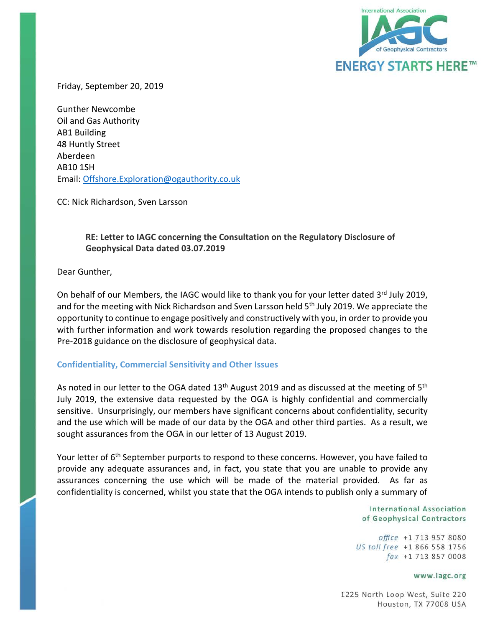

Friday, September 20, 2019

Gunther Newcombe Oil and Gas Authority AB1 Building 48 Huntly Street Aberdeen AB10 1SH Email: [Offshore.Exploration@ogauthority.co.uk](mailto:Offshore.Exploration@ogauthority.co.uk)

CC: Nick Richardson, Sven Larsson

## **RE: Letter to IAGC concerning the Consultation on the Regulatory Disclosure of Geophysical Data dated 03.07.2019**

Dear Gunther,

On behalf of our Members, the IAGC would like to thank you for your letter dated 3rd July 2019, and for the meeting with Nick Richardson and Sven Larsson held 5<sup>th</sup> July 2019. We appreciate the opportunity to continue to engage positively and constructively with you, in order to provide you with further information and work towards resolution regarding the proposed changes to the Pre-2018 guidance on the disclosure of geophysical data.

### **Confidentiality, Commercial Sensitivity and Other Issues**

As noted in our letter to the OGA dated  $13<sup>th</sup>$  August 2019 and as discussed at the meeting of  $5<sup>th</sup>$ July 2019, the extensive data requested by the OGA is highly confidential and commercially sensitive. Unsurprisingly, our members have significant concerns about confidentiality, security and the use which will be made of our data by the OGA and other third parties. As a result, we sought assurances from the OGA in our letter of 13 August 2019.

Your letter of 6<sup>th</sup> September purports to respond to these concerns. However, you have failed to provide any adequate assurances and, in fact, you state that you are unable to provide any assurances concerning the use which will be made of the material provided. As far as confidentiality is concerned, whilst you state that the OGA intends to publish only a summary of

> **International Association** of Geophysical Contractors

office +1 713 957 8080 US toll free +1 866 558 1756 fax +1 713 857 0008

#### www.iagc.org

1225 North Loop West, Suite 220 Houston, TX 77008 USA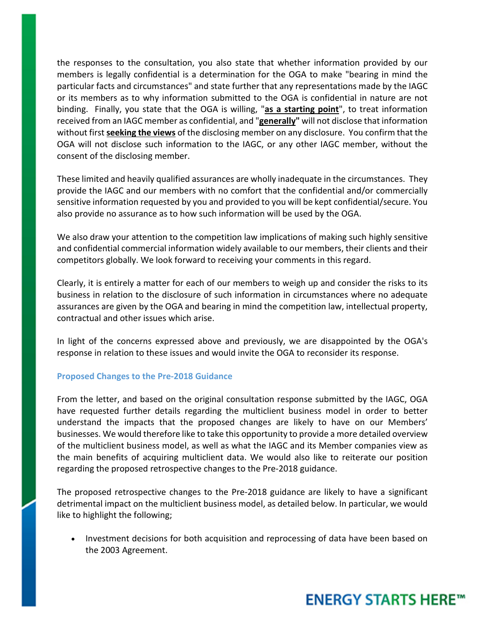the responses to the consultation, you also state that whether information provided by our members is legally confidential is a determination for the OGA to make "bearing in mind the particular facts and circumstances" and state further that any representations made by the IAGC or its members as to why information submitted to the OGA is confidential in nature are not binding. Finally, you state that the OGA is willing, "**as a starting point**", to treat information received from an IAGC member as confidential, and "**generally"** will not disclose that information without first **seeking the views** of the disclosing member on any disclosure. You confirm that the OGA will not disclose such information to the IAGC, or any other IAGC member, without the consent of the disclosing member.

These limited and heavily qualified assurances are wholly inadequate in the circumstances. They provide the IAGC and our members with no comfort that the confidential and/or commercially sensitive information requested by you and provided to you will be kept confidential/secure. You also provide no assurance as to how such information will be used by the OGA.

We also draw your attention to the competition law implications of making such highly sensitive and confidential commercial information widely available to our members, their clients and their competitors globally. We look forward to receiving your comments in this regard.

Clearly, it is entirely a matter for each of our members to weigh up and consider the risks to its business in relation to the disclosure of such information in circumstances where no adequate assurances are given by the OGA and bearing in mind the competition law, intellectual property, contractual and other issues which arise.

In light of the concerns expressed above and previously, we are disappointed by the OGA's response in relation to these issues and would invite the OGA to reconsider its response.

### **Proposed Changes to the Pre-2018 Guidance**

From the letter, and based on the original consultation response submitted by the IAGC, OGA have requested further details regarding the multiclient business model in order to better understand the impacts that the proposed changes are likely to have on our Members' businesses. We would therefore like to take this opportunity to provide a more detailed overview of the multiclient business model, as well as what the IAGC and its Member companies view as the main benefits of acquiring multiclient data. We would also like to reiterate our position regarding the proposed retrospective changes to the Pre-2018 guidance.

The proposed retrospective changes to the Pre-2018 guidance are likely to have a significant detrimental impact on the multiclient business model, as detailed below. In particular, we would like to highlight the following;

• Investment decisions for both acquisition and reprocessing of data have been based on the 2003 Agreement.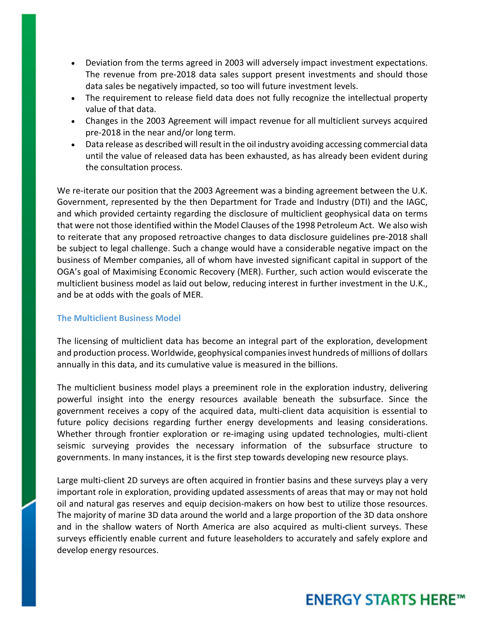- Deviation from the terms agreed in 2003 will adversely impact investment expectations. The revenue from pre-2018 data sales support present investments and should those data sales be negatively impacted, so too will future investment levels.
- The requirement to release field data does not fully recognize the intellectual property value of that data.
- Changes in the 2003 Agreement will impact revenue for all multiclient surveys acquired pre-2018 in the near and/or long term.
- Data release as described will result in the oil industry avoiding accessing commercial data until the value of released data has been exhausted, as has already been evident during the consultation process.

We re-iterate our position that the 2003 Agreement was a binding agreement between the U.K. Government, represented by the then Department for Trade and Industry (DTI) and the IAGC, and which provided certainty regarding the disclosure of multiclient geophysical data on terms that were not those identified within the Model Clauses of the 1998 Petroleum Act. We also wish to reiterate that any proposed retroactive changes to data disclosure guidelines pre-2018 shall be subject to legal challenge. Such a change would have a considerable negative impact on the business of Member companies, all of whom have invested significant capital in support of the OGA's goal of Maximising Economic Recovery (MER). Further, such action would eviscerate the multiclient business model as laid out below, reducing interest in further investment in the U.K., and be at odds with the goals of MER.

### **The Multiclient Business Model**

The licensing of multiclient data has become an integral part of the exploration, development and production process. Worldwide, geophysical companies invest hundreds of millions of dollars annually in this data, and its cumulative value is measured in the billions.

The multiclient business model plays a preeminent role in the exploration industry, delivering powerful insight into the energy resources available beneath the subsurface. Since the government receives a copy of the acquired data, multi-client data acquisition is essential to future policy decisions regarding further energy developments and leasing considerations. Whether through frontier exploration or re-imaging using updated technologies, multi-client seismic surveying provides the necessary information of the subsurface structure to governments. In many instances, it is the first step towards developing new resource plays.

Large multi-client 2D surveys are often acquired in frontier basins and these surveys play a very important role in exploration, providing updated assessments of areas that may or may not hold oil and natural gas reserves and equip decision-makers on how best to utilize those resources. The majority of marine 3D data around the world and a large proportion of the 3D data onshore and in the shallow waters of North America are also acquired as multi-client surveys. These surveys efficiently enable current and future leaseholders to accurately and safely explore and develop energy resources.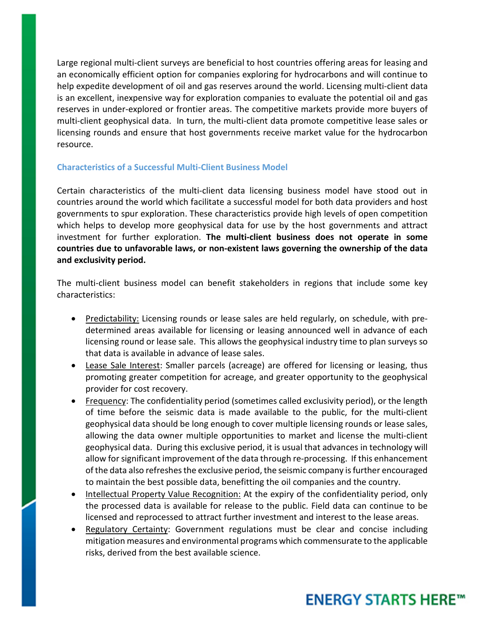Large regional multi-client surveys are beneficial to host countries offering areas for leasing and an economically efficient option for companies exploring for hydrocarbons and will continue to help expedite development of oil and gas reserves around the world. Licensing multi-client data is an excellent, inexpensive way for exploration companies to evaluate the potential oil and gas reserves in under-explored or frontier areas. The competitive markets provide more buyers of multi-client geophysical data. In turn, the multi-client data promote competitive lease sales or licensing rounds and ensure that host governments receive market value for the hydrocarbon resource.

### **Characteristics of a Successful Multi-Client Business Model**

Certain characteristics of the multi-client data licensing business model have stood out in countries around the world which facilitate a successful model for both data providers and host governments to spur exploration. These characteristics provide high levels of open competition which helps to develop more geophysical data for use by the host governments and attract investment for further exploration. **The multi-client business does not operate in some countries due to unfavorable laws, or non-existent laws governing the ownership of the data and exclusivity period.**

The multi-client business model can benefit stakeholders in regions that include some key characteristics:

- Predictability: Licensing rounds or lease sales are held regularly, on schedule, with predetermined areas available for licensing or leasing announced well in advance of each licensing round or lease sale. This allows the geophysical industry time to plan surveys so that data is available in advance of lease sales.
- Lease Sale Interest: Smaller parcels (acreage) are offered for licensing or leasing, thus promoting greater competition for acreage, and greater opportunity to the geophysical provider for cost recovery.
- Frequency: The confidentiality period (sometimes called exclusivity period), or the length of time before the seismic data is made available to the public, for the multi-client geophysical data should be long enough to cover multiple licensing rounds or lease sales, allowing the data owner multiple opportunities to market and license the multi-client geophysical data. During this exclusive period, it is usual that advances in technology will allow for significant improvement of the data through re-processing. If this enhancement of the data also refreshes the exclusive period, the seismic company is further encouraged to maintain the best possible data, benefitting the oil companies and the country.
- Intellectual Property Value Recognition: At the expiry of the confidentiality period, only the processed data is available for release to the public. Field data can continue to be licensed and reprocessed to attract further investment and interest to the lease areas.
- Regulatory Certainty: Government regulations must be clear and concise including mitigation measures and environmental programs which commensurate to the applicable risks, derived from the best available science.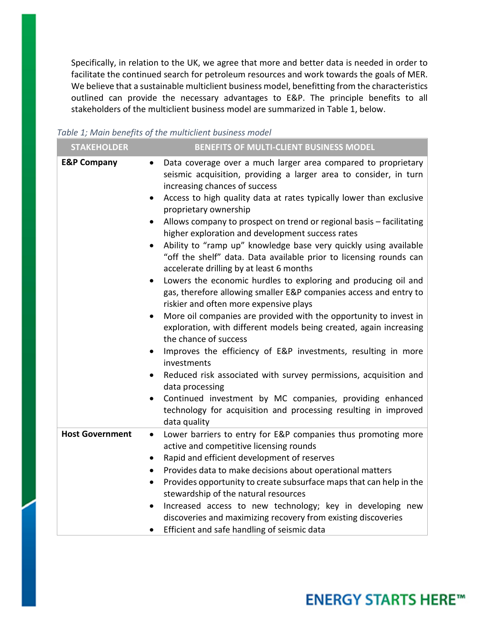Specifically, in relation to the UK, we agree that more and better data is needed in order to facilitate the continued search for petroleum resources and work towards the goals of MER. We believe that a sustainable multiclient business model, benefitting from the characteristics outlined can provide the necessary advantages to E&P. The principle benefits to all stakeholders of the multiclient business model are summarized in Table 1, below.

| Table 1; Main benefits of the multiclient business model |  |  |  |  |  |
|----------------------------------------------------------|--|--|--|--|--|
|----------------------------------------------------------|--|--|--|--|--|

| <b>STAKEHOLDER</b>     | BENEFITS OF MULTI-CLIENT BUSINESS MODEL                                                                                                                                                    |
|------------------------|--------------------------------------------------------------------------------------------------------------------------------------------------------------------------------------------|
| <b>E&amp;P Company</b> | Data coverage over a much larger area compared to proprietary<br>$\bullet$<br>seismic acquisition, providing a larger area to consider, in turn<br>increasing chances of success           |
|                        | Access to high quality data at rates typically lower than exclusive<br>$\bullet$<br>proprietary ownership                                                                                  |
|                        | Allows company to prospect on trend or regional basis - facilitating<br>$\bullet$<br>higher exploration and development success rates                                                      |
|                        | Ability to "ramp up" knowledge base very quickly using available<br>"off the shelf" data. Data available prior to licensing rounds can<br>accelerate drilling by at least 6 months         |
|                        | Lowers the economic hurdles to exploring and producing oil and<br>$\bullet$<br>gas, therefore allowing smaller E&P companies access and entry to<br>riskier and often more expensive plays |
|                        | More oil companies are provided with the opportunity to invest in<br>$\bullet$<br>exploration, with different models being created, again increasing<br>the chance of success              |
|                        | Improves the efficiency of E&P investments, resulting in more<br>$\bullet$<br>investments                                                                                                  |
|                        | Reduced risk associated with survey permissions, acquisition and<br>data processing                                                                                                        |
|                        | Continued investment by MC companies, providing enhanced<br>$\bullet$<br>technology for acquisition and processing resulting in improved<br>data quality                                   |
| <b>Host Government</b> | Lower barriers to entry for E&P companies thus promoting more<br>$\bullet$<br>active and competitive licensing rounds                                                                      |
|                        | Rapid and efficient development of reserves<br>$\bullet$                                                                                                                                   |
|                        | Provides data to make decisions about operational matters<br>$\bullet$                                                                                                                     |
|                        | Provides opportunity to create subsurface maps that can help in the<br>$\bullet$<br>stewardship of the natural resources                                                                   |
|                        | Increased access to new technology; key in developing new<br>$\bullet$<br>discoveries and maximizing recovery from existing discoveries                                                    |
|                        | Efficient and safe handling of seismic data                                                                                                                                                |